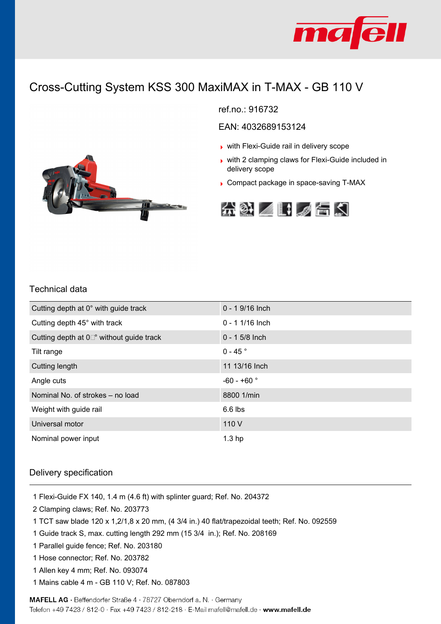

# Cross-Cutting System KSS 300 MaxiMAX in T-MAX - GB 110 V



EAN: 4032689153124

- with Flexi-Guide rail in delivery scope
- ▶ with 2 clamping claws for Flexi-Guide included in delivery scope
- Compact package in space-saving T-MAX





#### Technical data

| Cutting depth at 0° with guide track            | $0 - 19/16$ Inch  |
|-------------------------------------------------|-------------------|
| Cutting depth 45° with track                    | $0 - 11/16$ Inch  |
| Cutting depth at $0\degree$ without guide track | $0 - 15/8$ Inch   |
| Tilt range                                      | $0 - 45$ °        |
| Cutting length                                  | 11 13/16 Inch     |
| Angle cuts                                      | $-60 - +60$ °     |
| Nominal No. of strokes - no load                | 8800 1/min        |
| Weight with guide rail                          | $6.6$ lbs         |
| Universal motor                                 | 110 V             |
| Nominal power input                             | 1.3 <sub>hp</sub> |

#### Delivery specification

- 1 Flexi-Guide FX 140, 1.4 m (4.6 ft) with splinter guard; Ref. No. 204372
- 2 Clamping claws; Ref. No. 203773
- 1 TCT saw blade 120 x 1,2/1,8 x 20 mm, (4 3/4 in.) 40 flat/trapezoidal teeth; Ref. No. 092559
- 1 Guide track S, max. cutting length 292 mm (15 3/4 in.); Ref. No. 208169
- 1 Parallel guide fence; Ref. No. 203180
- 1 Hose connector; Ref. No. 203782
- 1 Allen key 4 mm; Ref. No. 093074
- 1 Mains cable 4 m GB 110 V; Ref. No. 087803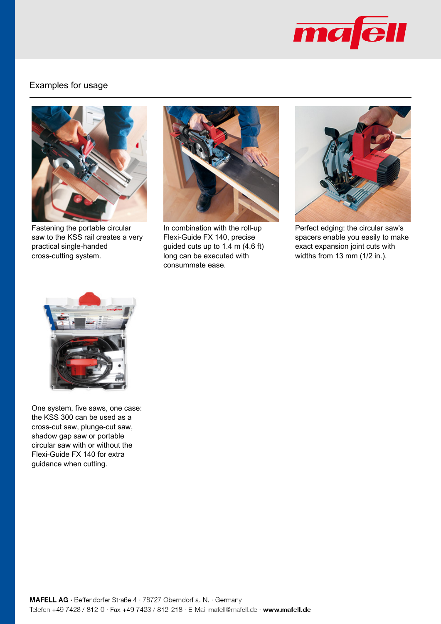

### Examples for usage



Fastening the portable circular saw to the KSS rail creates a very practical single-handed cross-cutting system.



In combination with the roll-up Flexi-Guide FX 140, precise guided cuts up to 1.4 m (4.6 ft) long can be executed with consummate ease.



Perfect edging: the circular saw's spacers enable you easily to make exact expansion joint cuts with widths from 13 mm (1/2 in.).



One system, five saws, one case: the KSS 300 can be used as a cross-cut saw, plunge-cut saw, shadow gap saw or portable circular saw with or without the Flexi-Guide FX 140 for extra guidance when cutting.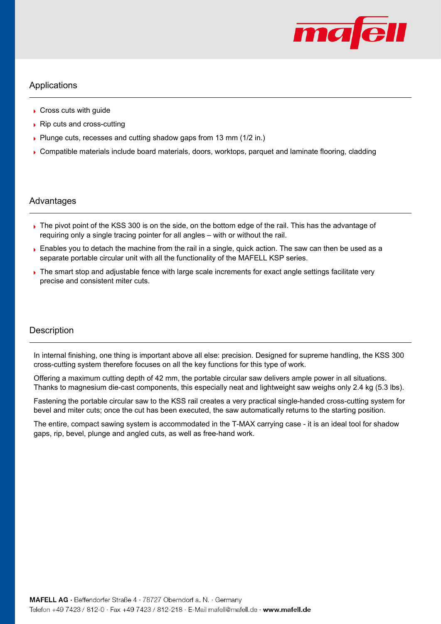

### Applications

- Cross cuts with quide
- $\triangleright$  Rip cuts and cross-cutting
- Plunge cuts, recesses and cutting shadow gaps from 13 mm (1/2 in.)
- Compatible materials include board materials, doors, worktops, parquet and laminate flooring, cladding

#### Advantages

- The pivot point of the KSS 300 is on the side, on the bottom edge of the rail. This has the advantage of requiring only a single tracing pointer for all angles – with or without the rail.
- **Enables you to detach the machine from the rail in a single, quick action. The saw can then be used as a** separate portable circular unit with all the functionality of the MAFELL KSP series.
- The smart stop and adjustable fence with large scale increments for exact angle settings facilitate very precise and consistent miter cuts.

#### **Description**

In internal finishing, one thing is important above all else: precision. Designed for supreme handling, the KSS 300 cross-cutting system therefore focuses on all the key functions for this type of work.

Offering a maximum cutting depth of 42 mm, the portable circular saw delivers ample power in all situations. Thanks to magnesium die-cast components, this especially neat and lightweight saw weighs only 2.4 kg (5.3 lbs).

Fastening the portable circular saw to the KSS rail creates a very practical single-handed cross-cutting system for bevel and miter cuts; once the cut has been executed, the saw automatically returns to the starting position.

The entire, compact sawing system is accommodated in the T-MAX carrying case - it is an ideal tool for shadow gaps, rip, bevel, plunge and angled cuts, as well as free-hand work.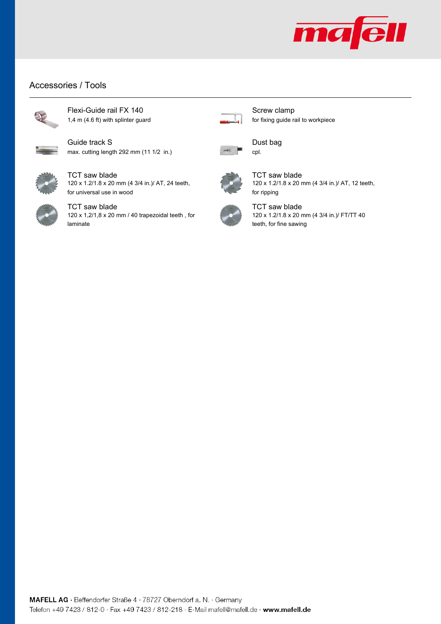

## Accessories / Tools



Flexi-Guide rail FX 140 1,4 m (4.6 ft) with splinter guard



Guide track S max. cutting length 292 mm (11 1/2 in.)



TCT saw blade 120 x 1.2/1.8 x 20 mm (4 3/4 in.)/ AT, 24 teeth, for universal use in wood



TCT saw blade 120 x 1,2/1,8 x 20 mm / 40 trapezoidal teeth , for laminate



Screw clamp for fixing guide rail to workpiece



Dust bag



TCT saw blade 120 x 1.2/1.8 x 20 mm (4 3/4 in.)/ AT, 12 teeth, for ripping